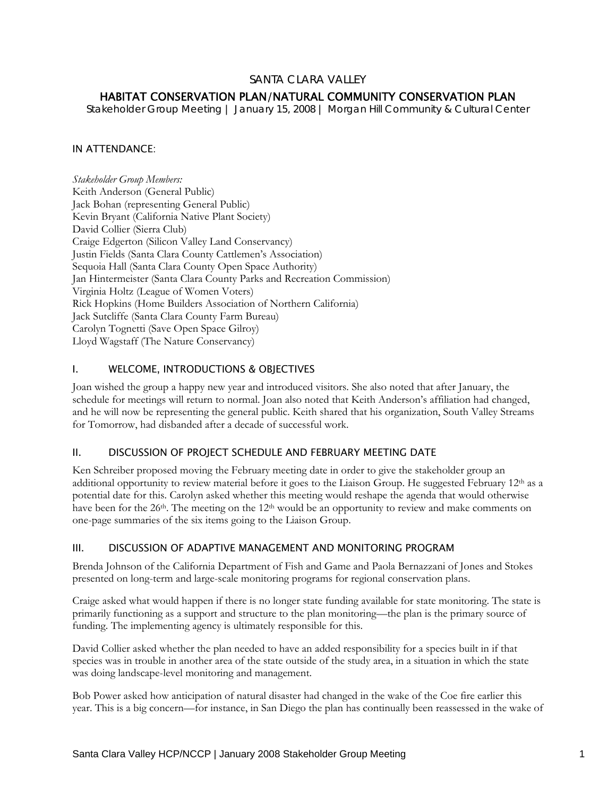## SANTA CLARA VALLEY

# HABITAT CONSERVATION PLAN/NATURAL COMMUNITY CONSERVATION PLAN

*Stakeholder Group Meeting | January 15, 2008 | Morgan Hill Community & Cultural Center* 

### IN ATTENDANCE:

*Stakeholder Group Members:*  Keith Anderson (General Public) Jack Bohan (representing General Public) Kevin Bryant (California Native Plant Society) David Collier (Sierra Club) Craige Edgerton (Silicon Valley Land Conservancy) Justin Fields (Santa Clara County Cattlemen's Association) Sequoia Hall (Santa Clara County Open Space Authority) Jan Hintermeister (Santa Clara County Parks and Recreation Commission) Virginia Holtz (League of Women Voters) Rick Hopkins (Home Builders Association of Northern California) Jack Sutcliffe (Santa Clara County Farm Bureau) Carolyn Tognetti (Save Open Space Gilroy) Lloyd Wagstaff (The Nature Conservancy)

### I. WELCOME, INTRODUCTIONS & OBJECTIVES

Joan wished the group a happy new year and introduced visitors. She also noted that after January, the schedule for meetings will return to normal. Joan also noted that Keith Anderson's affiliation had changed, and he will now be representing the general public. Keith shared that his organization, South Valley Streams for Tomorrow, had disbanded after a decade of successful work.

#### II. DISCUSSION OF PROJECT SCHEDULE AND FEBRUARY MEETING DATE

Ken Schreiber proposed moving the February meeting date in order to give the stakeholder group an additional opportunity to review material before it goes to the Liaison Group. He suggested February 12th as a potential date for this. Carolyn asked whether this meeting would reshape the agenda that would otherwise have been for the 26<sup>th</sup>. The meeting on the 12<sup>th</sup> would be an opportunity to review and make comments on one-page summaries of the six items going to the Liaison Group.

#### III. DISCUSSION OF ADAPTIVE MANAGEMENT AND MONITORING PROGRAM

Brenda Johnson of the California Department of Fish and Game and Paola Bernazzani of Jones and Stokes presented on long-term and large-scale monitoring programs for regional conservation plans.

Craige asked what would happen if there is no longer state funding available for state monitoring. The state is primarily functioning as a support and structure to the plan monitoring—the plan is the primary source of funding. The implementing agency is ultimately responsible for this.

David Collier asked whether the plan needed to have an added responsibility for a species built in if that species was in trouble in another area of the state outside of the study area, in a situation in which the state was doing landscape-level monitoring and management.

Bob Power asked how anticipation of natural disaster had changed in the wake of the Coe fire earlier this year. This is a big concern—for instance, in San Diego the plan has continually been reassessed in the wake of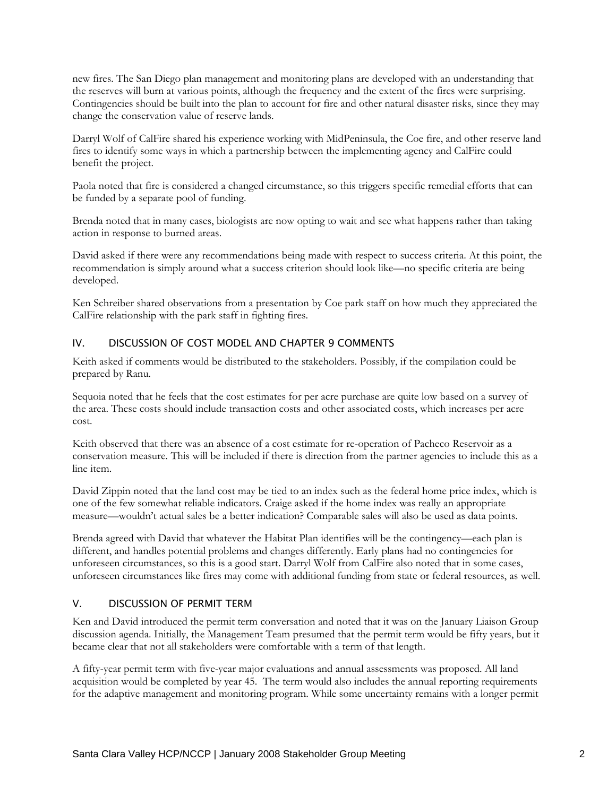new fires. The San Diego plan management and monitoring plans are developed with an understanding that the reserves will burn at various points, although the frequency and the extent of the fires were surprising. Contingencies should be built into the plan to account for fire and other natural disaster risks, since they may change the conservation value of reserve lands.

Darryl Wolf of CalFire shared his experience working with MidPeninsula, the Coe fire, and other reserve land fires to identify some ways in which a partnership between the implementing agency and CalFire could benefit the project.

Paola noted that fire is considered a changed circumstance, so this triggers specific remedial efforts that can be funded by a separate pool of funding.

Brenda noted that in many cases, biologists are now opting to wait and see what happens rather than taking action in response to burned areas.

David asked if there were any recommendations being made with respect to success criteria. At this point, the recommendation is simply around what a success criterion should look like—no specific criteria are being developed.

Ken Schreiber shared observations from a presentation by Coe park staff on how much they appreciated the CalFire relationship with the park staff in fighting fires.

### IV. DISCUSSION OF COST MODEL AND CHAPTER 9 COMMENTS

Keith asked if comments would be distributed to the stakeholders. Possibly, if the compilation could be prepared by Ranu.

Sequoia noted that he feels that the cost estimates for per acre purchase are quite low based on a survey of the area. These costs should include transaction costs and other associated costs, which increases per acre cost.

Keith observed that there was an absence of a cost estimate for re-operation of Pacheco Reservoir as a conservation measure. This will be included if there is direction from the partner agencies to include this as a line item.

David Zippin noted that the land cost may be tied to an index such as the federal home price index, which is one of the few somewhat reliable indicators. Craige asked if the home index was really an appropriate measure—wouldn't actual sales be a better indication? Comparable sales will also be used as data points.

Brenda agreed with David that whatever the Habitat Plan identifies will be the contingency—each plan is different, and handles potential problems and changes differently. Early plans had no contingencies for unforeseen circumstances, so this is a good start. Darryl Wolf from CalFire also noted that in some cases, unforeseen circumstances like fires may come with additional funding from state or federal resources, as well.

#### V. DISCUSSION OF PERMIT TERM

Ken and David introduced the permit term conversation and noted that it was on the January Liaison Group discussion agenda. Initially, the Management Team presumed that the permit term would be fifty years, but it became clear that not all stakeholders were comfortable with a term of that length.

A fifty-year permit term with five-year major evaluations and annual assessments was proposed. All land acquisition would be completed by year 45. The term would also includes the annual reporting requirements for the adaptive management and monitoring program. While some uncertainty remains with a longer permit